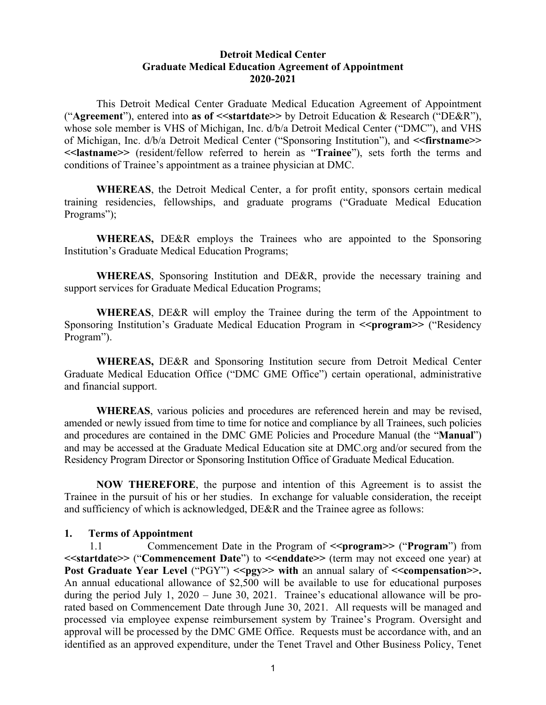### **Detroit Medical Center Graduate Medical Education Agreement of Appointment 2020-2021**

This Detroit Medical Center Graduate Medical Education Agreement of Appointment ("**Agreement**"), entered into **as of <<startdate>>** by Detroit Education & Research ("DE&R"), whose sole member is VHS of Michigan, Inc.  $d/b/a$  Detroit Medical Center ("DMC"), and VHS of Michigan, Inc. d/b/a Detroit Medical Center ("Sponsoring Institution"), and **<<firstname>> <<lastname>>** (resident/fellow referred to herein as "**Trainee**"), sets forth the terms and conditions of Trainee's appointment as a trainee physician at DMC.

**WHEREAS**, the Detroit Medical Center, a for profit entity, sponsors certain medical training residencies, fellowships, and graduate programs ("Graduate Medical Education Programs");

**WHEREAS,** DE&R employs the Trainees who are appointed to the Sponsoring Institution's Graduate Medical Education Programs;

**WHEREAS**, Sponsoring Institution and DE&R, provide the necessary training and support services for Graduate Medical Education Programs;

**WHEREAS**, DE&R will employ the Trainee during the term of the Appointment to Sponsoring Institution's Graduate Medical Education Program in  $\leq$ **program**>> ("Residency Program").

**WHEREAS,** DE&R and Sponsoring Institution secure from Detroit Medical Center Graduate Medical Education Office ("DMC GME Office") certain operational, administrative and financial support.

**WHEREAS**, various policies and procedures are referenced herein and may be revised, amended or newly issued from time to time for notice and compliance by all Trainees, such policies and procedures are contained in the DMC GME Policies and Procedure Manual (the "**Manual**") and may be accessed at the Graduate Medical Education site at DMC.org and/or secured from the Residency Program Director or Sponsoring Institution Office of Graduate Medical Education.

**NOW THEREFORE**, the purpose and intention of this Agreement is to assist the Trainee in the pursuit of his or her studies. In exchange for valuable consideration, the receipt and sufficiency of which is acknowledged, DE&R and the Trainee agree as follows:

#### **1. Terms of Appointment**

1.1 Commencement Date in the Program of  $\leq$ **program** $\geq$  ("**Program**") from **<<startdate>>** ("**Commencement Date**") to **<<enddate>>** (term may not exceed one year) at **Post Graduate Year Level** ("PGY")  $\langle$ pey>> with an annual salary of  $\langle$  compensation>>. An annual educational allowance of \$2,500 will be available to use for educational purposes during the period July 1, 2020 – June 30, 2021. Trainee's educational allowance will be prorated based on Commencement Date through June 30, 2021. All requests will be managed and processed via employee expense reimbursement system by Trainee's Program. Oversight and approval will be processed by the DMC GME Office. Requests must be accordance with, and an identified as an approved expenditure, under the Tenet Travel and Other Business Policy, Tenet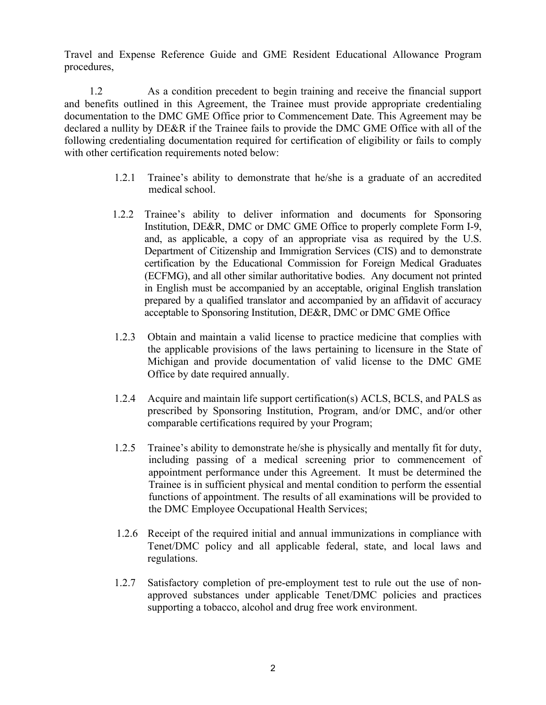Travel and Expense Reference Guide and GME Resident Educational Allowance Program procedures,

1.2 As a condition precedent to begin training and receive the financial support and benefits outlined in this Agreement, the Trainee must provide appropriate credentialing documentation to the DMC GME Office prior to Commencement Date. This Agreement may be declared a nullity by DE&R if the Trainee fails to provide the DMC GME Office with all of the following credentialing documentation required for certification of eligibility or fails to comply with other certification requirements noted below:

- 1.2.1 Trainee's ability to demonstrate that he/she is a graduate of an accredited medical school.
- 1.2.2 Trainee's ability to deliver information and documents for Sponsoring Institution, DE&R, DMC or DMC GME Office to properly complete Form I-9, and, as applicable, a copy of an appropriate visa as required by the U.S. Department of Citizenship and Immigration Services (CIS) and to demonstrate certification by the Educational Commission for Foreign Medical Graduates (ECFMG), and all other similar authoritative bodies. Any document not printed in English must be accompanied by an acceptable, original English translation prepared by a qualified translator and accompanied by an affidavit of accuracy acceptable to Sponsoring Institution, DE&R, DMC or DMC GME Office
- 1.2.3 Obtain and maintain a valid license to practice medicine that complies with the applicable provisions of the laws pertaining to licensure in the State of Michigan and provide documentation of valid license to the DMC GME Office by date required annually.
- 1.2.4 Acquire and maintain life support certification(s) ACLS, BCLS, and PALS as prescribed by Sponsoring Institution, Program, and/or DMC, and/or other comparable certifications required by your Program;
- 1.2.5 Trainee's ability to demonstrate he/she is physically and mentally fit for duty, including passing of a medical screening prior to commencement of appointment performance under this Agreement. It must be determined the Trainee is in sufficient physical and mental condition to perform the essential functions of appointment. The results of all examinations will be provided to the DMC Employee Occupational Health Services;
- 1.2.6 Receipt of the required initial and annual immunizations in compliance with Tenet/DMC policy and all applicable federal, state, and local laws and regulations.
- 1.2.7 Satisfactory completion of pre-employment test to rule out the use of nonapproved substances under applicable Tenet/DMC policies and practices supporting a tobacco, alcohol and drug free work environment.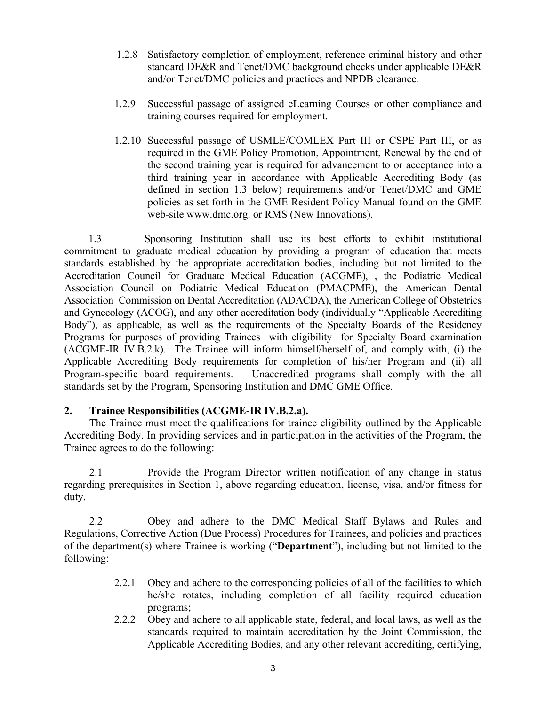- 1.2.8 Satisfactory completion of employment, reference criminal history and other standard DE&R and Tenet/DMC background checks under applicable DE&R and/or Tenet/DMC policies and practices and NPDB clearance.
- 1.2.9 Successful passage of assigned eLearning Courses or other compliance and training courses required for employment.
- 1.2.10 Successful passage of USMLE/COMLEX Part III or CSPE Part III, or as required in the GME Policy Promotion, Appointment, Renewal by the end of the second training year is required for advancement to or acceptance into a third training year in accordance with Applicable Accrediting Body (as defined in section 1.3 below) requirements and/or Tenet/DMC and GME policies as set forth in the GME Resident Policy Manual found on the GME web-site www.dmc.org. or RMS (New Innovations).

1.3 Sponsoring Institution shall use its best efforts to exhibit institutional commitment to graduate medical education by providing a program of education that meets standards established by the appropriate accreditation bodies, including but not limited to the Accreditation Council for Graduate Medical Education (ACGME), , the Podiatric Medical Association Council on Podiatric Medical Education (PMACPME), the American Dental Association Commission on Dental Accreditation (ADACDA), the American College of Obstetrics and Gynecology (ACOG), and any other accreditation body (individually "Applicable Accrediting Body"), as applicable, as well as the requirements of the Specialty Boards of the Residency Programs for purposes of providing Trainees with eligibility for Specialty Board examination (ACGME-IR IV.B.2.k). The Trainee will inform himself/herself of, and comply with, (i) the Applicable Accrediting Body requirements for completion of his/her Program and (ii) all Program-specific board requirements. Unaccredited programs shall comply with the all standards set by the Program, Sponsoring Institution and DMC GME Office.

# **2. Trainee Responsibilities (ACGME-IR IV.B.2.a).**

The Trainee must meet the qualifications for trainee eligibility outlined by the Applicable Accrediting Body. In providing services and in participation in the activities of the Program, the Trainee agrees to do the following:

2.1 Provide the Program Director written notification of any change in status regarding prerequisites in Section 1, above regarding education, license, visa, and/or fitness for duty.

2.2 Obey and adhere to the DMC Medical Staff Bylaws and Rules and Regulations, Corrective Action (Due Process) Procedures for Trainees, and policies and practices of the department(s) where Trainee is working ("**Department**"), including but not limited to the following:

- 2.2.1 Obey and adhere to the corresponding policies of all of the facilities to which he/she rotates, including completion of all facility required education programs;
- 2.2.2 Obey and adhere to all applicable state, federal, and local laws, as well as the standards required to maintain accreditation by the Joint Commission, the Applicable Accrediting Bodies, and any other relevant accrediting, certifying,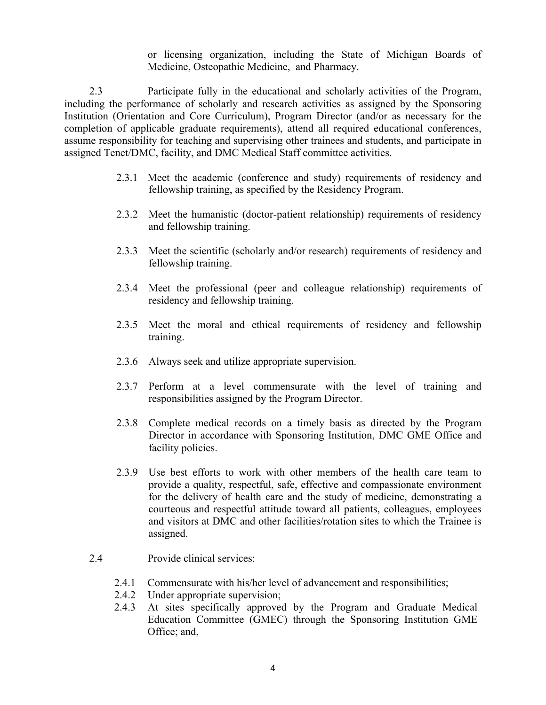or licensing organization, including the State of Michigan Boards of Medicine, Osteopathic Medicine, and Pharmacy.

2.3 Participate fully in the educational and scholarly activities of the Program, including the performance of scholarly and research activities as assigned by the Sponsoring Institution (Orientation and Core Curriculum), Program Director (and/or as necessary for the completion of applicable graduate requirements), attend all required educational conferences, assume responsibility for teaching and supervising other trainees and students, and participate in assigned Tenet/DMC, facility, and DMC Medical Staff committee activities.

- 2.3.1 Meet the academic (conference and study) requirements of residency and fellowship training, as specified by the Residency Program.
- 2.3.2 Meet the humanistic (doctor-patient relationship) requirements of residency and fellowship training.
- 2.3.3 Meet the scientific (scholarly and/or research) requirements of residency and fellowship training.
- 2.3.4 Meet the professional (peer and colleague relationship) requirements of residency and fellowship training.
- 2.3.5 Meet the moral and ethical requirements of residency and fellowship training.
- 2.3.6 Always seek and utilize appropriate supervision.
- 2.3.7 Perform at a level commensurate with the level of training and responsibilities assigned by the Program Director.
- 2.3.8 Complete medical records on a timely basis as directed by the Program Director in accordance with Sponsoring Institution, DMC GME Office and facility policies.
- 2.3.9 Use best efforts to work with other members of the health care team to provide a quality, respectful, safe, effective and compassionate environment for the delivery of health care and the study of medicine, demonstrating a courteous and respectful attitude toward all patients, colleagues, employees and visitors at DMC and other facilities/rotation sites to which the Trainee is assigned.
- 2.4 Provide clinical services:
	- 2.4.1 Commensurate with his/her level of advancement and responsibilities;
	- 2.4.2 Under appropriate supervision;
	- 2.4.3 At sites specifically approved by the Program and Graduate Medical Education Committee (GMEC) through the Sponsoring Institution GME Office; and,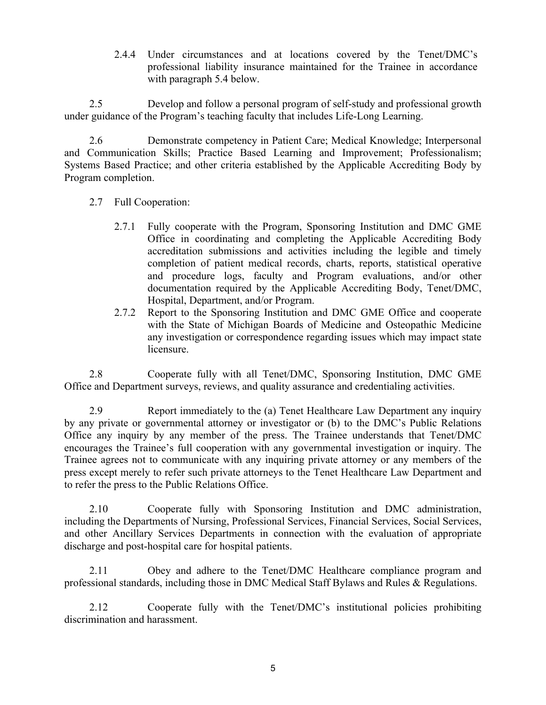2.4.4 Under circumstances and at locations covered by the Tenet/DMC's professional liability insurance maintained for the Trainee in accordance with paragraph 5.4 below.

2.5 Develop and follow a personal program of self-study and professional growth under guidance of the Program's teaching faculty that includes Life-Long Learning.

2.6 Demonstrate competency in Patient Care; Medical Knowledge; Interpersonal and Communication Skills; Practice Based Learning and Improvement; Professionalism; Systems Based Practice; and other criteria established by the Applicable Accrediting Body by Program completion.

## 2.7 Full Cooperation:

- 2.7.1 Fully cooperate with the Program, Sponsoring Institution and DMC GME Office in coordinating and completing the Applicable Accrediting Body accreditation submissions and activities including the legible and timely completion of patient medical records, charts, reports, statistical operative and procedure logs, faculty and Program evaluations, and/or other documentation required by the Applicable Accrediting Body, Tenet/DMC, Hospital, Department, and/or Program.
- 2.7.2 Report to the Sponsoring Institution and DMC GME Office and cooperate with the State of Michigan Boards of Medicine and Osteopathic Medicine any investigation or correspondence regarding issues which may impact state licensure.

2.8 Cooperate fully with all Tenet/DMC, Sponsoring Institution, DMC GME Office and Department surveys, reviews, and quality assurance and credentialing activities.

2.9 Report immediately to the (a) Tenet Healthcare Law Department any inquiry by any private or governmental attorney or investigator or (b) to the DMC's Public Relations Office any inquiry by any member of the press. The Trainee understands that Tenet/DMC encourages the Trainee's full cooperation with any governmental investigation or inquiry. The Trainee agrees not to communicate with any inquiring private attorney or any members of the press except merely to refer such private attorneys to the Tenet Healthcare Law Department and to refer the press to the Public Relations Office.

2.10 Cooperate fully with Sponsoring Institution and DMC administration, including the Departments of Nursing, Professional Services, Financial Services, Social Services, and other Ancillary Services Departments in connection with the evaluation of appropriate discharge and post-hospital care for hospital patients.

2.11 Obey and adhere to the Tenet/DMC Healthcare compliance program and professional standards, including those in DMC Medical Staff Bylaws and Rules & Regulations.

2.12 Cooperate fully with the Tenet/DMC's institutional policies prohibiting discrimination and harassment.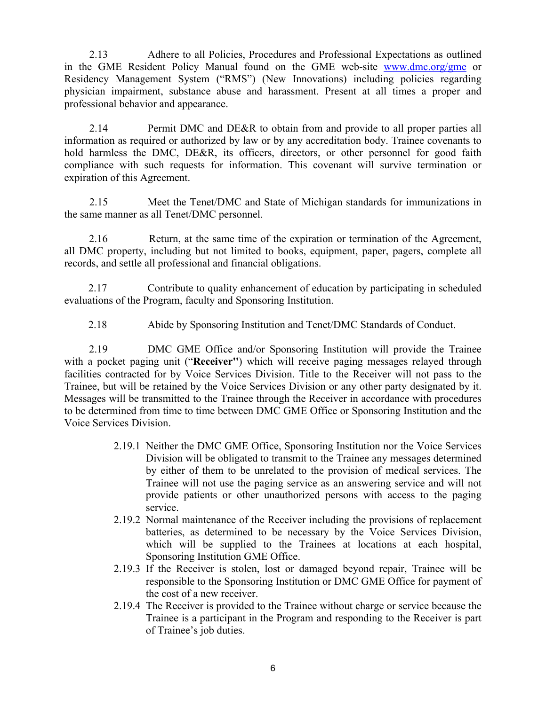2.13 Adhere to all Policies, Procedures and Professional Expectations as outlined in the GME Resident Policy Manual found on the GME web-site www.dmc.org/gme or Residency Management System ("RMS") (New Innovations) including policies regarding physician impairment, substance abuse and harassment. Present at all times a proper and professional behavior and appearance.

2.14 Permit DMC and DE&R to obtain from and provide to all proper parties all information as required or authorized by law or by any accreditation body. Trainee covenants to hold harmless the DMC, DE&R, its officers, directors, or other personnel for good faith compliance with such requests for information. This covenant will survive termination or expiration of this Agreement.

2.15 Meet the Tenet/DMC and State of Michigan standards for immunizations in the same manner as all Tenet/DMC personnel.

2.16 Return, at the same time of the expiration or termination of the Agreement, all DMC property, including but not limited to books, equipment, paper, pagers, complete all records, and settle all professional and financial obligations.

2.17 Contribute to quality enhancement of education by participating in scheduled evaluations of the Program, faculty and Sponsoring Institution.

2.18 Abide by Sponsoring Institution and Tenet/DMC Standards of Conduct.

2.19 DMC GME Office and/or Sponsoring Institution will provide the Trainee with a pocket paging unit ("**Receiver''**) which will receive paging messages relayed through facilities contracted for by Voice Services Division. Title to the Receiver will not pass to the Trainee, but will be retained by the Voice Services Division or any other party designated by it. Messages will be transmitted to the Trainee through the Receiver in accordance with procedures to be determined from time to time between DMC GME Office or Sponsoring Institution and the Voice Services Division.

- 2.19.1 Neither the DMC GME Office, Sponsoring Institution nor the Voice Services Division will be obligated to transmit to the Trainee any messages determined by either of them to be unrelated to the provision of medical services. The Trainee will not use the paging service as an answering service and will not provide patients or other unauthorized persons with access to the paging service.
- 2.19.2 Normal maintenance of the Receiver including the provisions of replacement batteries, as determined to be necessary by the Voice Services Division, which will be supplied to the Trainees at locations at each hospital, Sponsoring Institution GME Office.
- 2.19.3 If the Receiver is stolen, lost or damaged beyond repair, Trainee will be responsible to the Sponsoring Institution or DMC GME Office for payment of the cost of a new receiver.
- 2.19.4 The Receiver is provided to the Trainee without charge or service because the Trainee is a participant in the Program and responding to the Receiver is part of Trainee's job duties.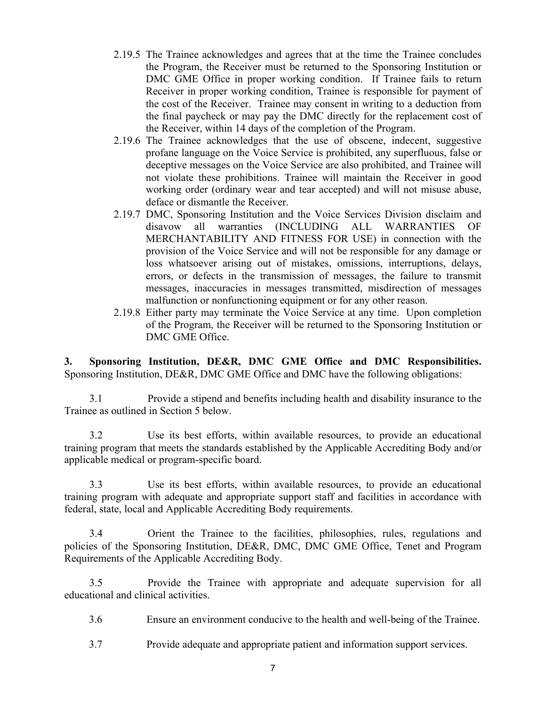- 2.19.5 The Trainee acknowledges and agrees that at the time the Trainee concludes the Program, the Receiver must be returned to the Sponsoring Institution or DMC GME Office in proper working condition. If Trainee fails to return Receiver in proper working condition, Trainee is responsible for payment of the cost of the Receiver. Trainee may consent in writing to a deduction from the final paycheck or may pay the DMC directly for the replacement cost of the Receiver, within 14 days of the completion of the Program.
- 2.19.6 The Trainee acknowledges that the use of obscene, indecent, suggestive profane language on the Voice Service is prohibited, any superfluous, false or deceptive messages on the Voice Service are also prohibited, and Trainee will not violate these prohibitions. Trainee will maintain the Receiver in good working order (ordinary wear and tear accepted) and will not misuse abuse, deface or dismantle the Receiver.
- 2.19.7 DMC, Sponsoring Institution and the Voice Services Division disclaim and disavow all warranties (INCLUDING ALL WARRANTIES OF MERCHANTABILITY AND FITNESS FOR USE) in connection with the provision of the Voice Service and will not be responsible for any damage or loss whatsoever arising out of mistakes, omissions, interruptions, delays, errors, or defects in the transmission of messages, the failure to transmit messages, inaccuracies in messages transmitted, misdirection of messages malfunction or nonfunctioning equipment or for any other reason.
- 2.19.8 Either party may terminate the Voice Service at any time. Upon completion of the Program, the Receiver will be returned to the Sponsoring Institution or DMC GME Office.

**3. Sponsoring Institution, DE&R, DMC GME Office and DMC Responsibilities.**  Sponsoring Institution, DE&R, DMC GME Office and DMC have the following obligations:

3.1 Provide a stipend and benefits including health and disability insurance to the Trainee as outlined in Section 5 below.

3.2 Use its best efforts, within available resources, to provide an educational training program that meets the standards established by the Applicable Accrediting Body and/or applicable medical or program-specific board.

3.3 Use its best efforts, within available resources, to provide an educational training program with adequate and appropriate support staff and facilities in accordance with federal, state, local and Applicable Accrediting Body requirements.

3.4 Orient the Trainee to the facilities, philosophies, rules, regulations and policies of the Sponsoring Institution, DE&R, DMC, DMC GME Office, Tenet and Program Requirements of the Applicable Accrediting Body.

3.5 Provide the Trainee with appropriate and adequate supervision for all educational and clinical activities.

3.6 Ensure an environment conducive to the health and well-being of the Trainee.

3.7 Provide adequate and appropriate patient and information support services.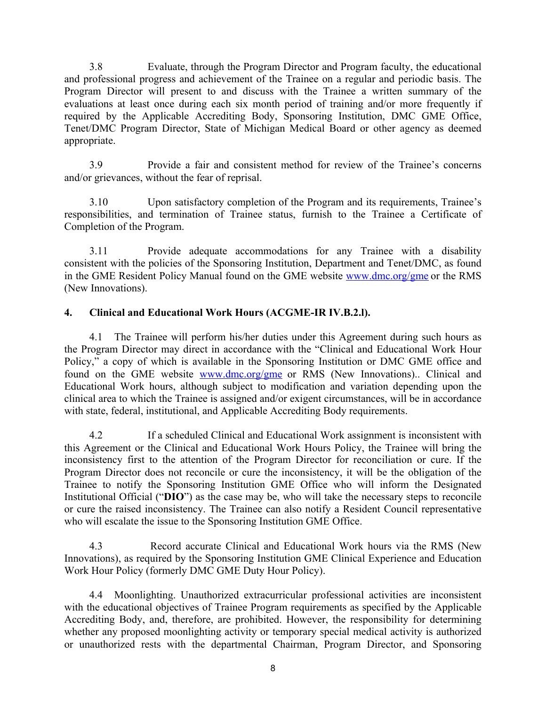3.8 Evaluate, through the Program Director and Program faculty, the educational and professional progress and achievement of the Trainee on a regular and periodic basis. The Program Director will present to and discuss with the Trainee a written summary of the evaluations at least once during each six month period of training and/or more frequently if required by the Applicable Accrediting Body, Sponsoring Institution, DMC GME Office, Tenet/DMC Program Director, State of Michigan Medical Board or other agency as deemed appropriate.

3.9 Provide a fair and consistent method for review of the Trainee's concerns and/or grievances, without the fear of reprisal.

3.10 Upon satisfactory completion of the Program and its requirements, Trainee's responsibilities, and termination of Trainee status, furnish to the Trainee a Certificate of Completion of the Program.

3.11 Provide adequate accommodations for any Trainee with a disability consistent with the policies of the Sponsoring Institution, Department and Tenet/DMC, as found in the GME Resident Policy Manual found on the GME website www.dmc.org/gme or the RMS (New Innovations).

## **4. Clinical and Educational Work Hours (ACGME-IR IV.B.2.l).**

4.1 The Trainee will perform his/her duties under this Agreement during such hours as the Program Director may direct in accordance with the "Clinical and Educational Work Hour Policy," a copy of which is available in the Sponsoring Institution or DMC GME office and found on the GME website www.dmc.org/gme or RMS (New Innovations).. Clinical and Educational Work hours, although subject to modification and variation depending upon the clinical area to which the Trainee is assigned and/or exigent circumstances, will be in accordance with state, federal, institutional, and Applicable Accrediting Body requirements.

4.2 If a scheduled Clinical and Educational Work assignment is inconsistent with this Agreement or the Clinical and Educational Work Hours Policy, the Trainee will bring the inconsistency first to the attention of the Program Director for reconciliation or cure. If the Program Director does not reconcile or cure the inconsistency, it will be the obligation of the Trainee to notify the Sponsoring Institution GME Office who will inform the Designated Institutional Official ("**DIO**") as the case may be, who will take the necessary steps to reconcile or cure the raised inconsistency. The Trainee can also notify a Resident Council representative who will escalate the issue to the Sponsoring Institution GME Office.

4.3 Record accurate Clinical and Educational Work hours via the RMS (New Innovations), as required by the Sponsoring Institution GME Clinical Experience and Education Work Hour Policy (formerly DMC GME Duty Hour Policy).

4.4 Moonlighting. Unauthorized extracurricular professional activities are inconsistent with the educational objectives of Trainee Program requirements as specified by the Applicable Accrediting Body, and, therefore, are prohibited. However, the responsibility for determining whether any proposed moonlighting activity or temporary special medical activity is authorized or unauthorized rests with the departmental Chairman, Program Director, and Sponsoring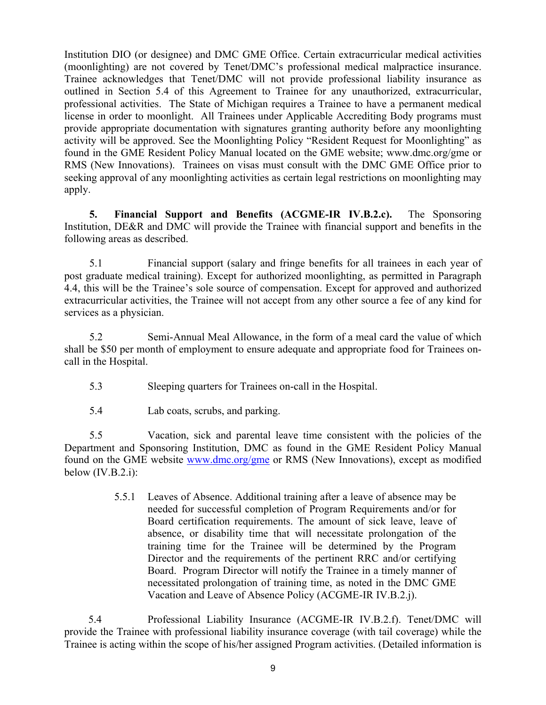Institution DIO (or designee) and DMC GME Office. Certain extracurricular medical activities (moonlighting) are not covered by Tenet/DMC's professional medical malpractice insurance. Trainee acknowledges that Tenet/DMC will not provide professional liability insurance as outlined in Section 5.4 of this Agreement to Trainee for any unauthorized, extracurricular, professional activities. The State of Michigan requires a Trainee to have a permanent medical license in order to moonlight. All Trainees under Applicable Accrediting Body programs must provide appropriate documentation with signatures granting authority before any moonlighting activity will be approved. See the Moonlighting Policy "Resident Request for Moonlighting" as found in the GME Resident Policy Manual located on the GME website; www.dmc.org/gme or RMS (New Innovations). Trainees on visas must consult with the DMC GME Office prior to seeking approval of any moonlighting activities as certain legal restrictions on moonlighting may apply.

**5. Financial Support and Benefits (ACGME-IR IV.B.2.c).** The Sponsoring Institution, DE&R and DMC will provide the Trainee with financial support and benefits in the following areas as described.

5.1 Financial support (salary and fringe benefits for all trainees in each year of post graduate medical training). Except for authorized moonlighting, as permitted in Paragraph 4.4, this will be the Trainee's sole source of compensation. Except for approved and authorized extracurricular activities, the Trainee will not accept from any other source a fee of any kind for services as a physician.

5.2 Semi-Annual Meal Allowance, in the form of a meal card the value of which shall be \$50 per month of employment to ensure adequate and appropriate food for Trainees oncall in the Hospital.

- 5.3 Sleeping quarters for Trainees on-call in the Hospital.
- 5.4 Lab coats, scrubs, and parking.

5.5 Vacation, sick and parental leave time consistent with the policies of the Department and Sponsoring Institution, DMC as found in the GME Resident Policy Manual found on the GME website www.dmc.org/gme or RMS (New Innovations), except as modified below  $(IV.B.2.i)$ :

> 5.5.1 Leaves of Absence. Additional training after a leave of absence may be needed for successful completion of Program Requirements and/or for Board certification requirements. The amount of sick leave, leave of absence, or disability time that will necessitate prolongation of the training time for the Trainee will be determined by the Program Director and the requirements of the pertinent RRC and/or certifying Board. Program Director will notify the Trainee in a timely manner of necessitated prolongation of training time, as noted in the DMC GME Vacation and Leave of Absence Policy (ACGME-IR IV.B.2.j).

5.4 Professional Liability Insurance (ACGME-IR IV.B.2.f). Tenet/DMC will provide the Trainee with professional liability insurance coverage (with tail coverage) while the Trainee is acting within the scope of his/her assigned Program activities. (Detailed information is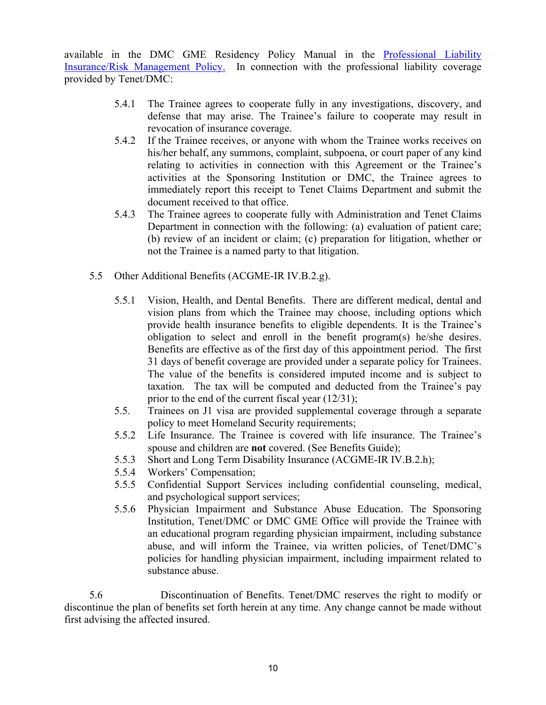available in the DMC GME Residency Policy Manual in the Professional Liability Insurance/Risk Management Policy. In connection with the professional liability coverage provided by Tenet/DMC:

- 5.4.1 The Trainee agrees to cooperate fully in any investigations, discovery, and defense that may arise. The Trainee's failure to cooperate may result in revocation of insurance coverage.
- 5.4.2 If the Trainee receives, or anyone with whom the Trainee works receives on his/her behalf, any summons, complaint, subpoena, or court paper of any kind relating to activities in connection with this Agreement or the Trainee's activities at the Sponsoring Institution or DMC, the Trainee agrees to immediately report this receipt to Tenet Claims Department and submit the document received to that office.
- 5.4.3 The Trainee agrees to cooperate fully with Administration and Tenet Claims Department in connection with the following: (a) evaluation of patient care; (b) review of an incident or claim; (c) preparation for litigation, whether or not the Trainee is a named party to that litigation.
- 5.5 Other Additional Benefits (ACGME-IR IV.B.2.g).
	- 5.5.1 Vision, Health, and Dental Benefits. There are different medical, dental and vision plans from which the Trainee may choose, including options which provide health insurance benefits to eligible dependents. It is the Trainee's obligation to select and enroll in the benefit program(s) he/she desires. Benefits are effective as of the first day of this appointment period. The first 31 days of benefit coverage are provided under a separate policy for Trainees. The value of the benefits is considered imputed income and is subject to taxation. The tax will be computed and deducted from the Trainee's pay prior to the end of the current fiscal year (12/31);
	- 5.5. Trainees on J1 visa are provided supplemental coverage through a separate policy to meet Homeland Security requirements;
	- 5.5.2 Life Insurance. The Trainee is covered with life insurance. The Trainee's spouse and children are **not** covered. (See Benefits Guide);
	- 5.5.3 Short and Long Term Disability Insurance (ACGME-IR IV.B.2.h);
	- 5.5.4 Workers' Compensation;
	- 5.5.5 Confidential Support Services including confidential counseling, medical, and psychological support services;
	- 5.5.6 Physician Impairment and Substance Abuse Education. The Sponsoring Institution, Tenet/DMC or DMC GME Office will provide the Trainee with an educational program regarding physician impairment, including substance abuse, and will inform the Trainee, via written policies, of Tenet/DMC's policies for handling physician impairment, including impairment related to substance abuse.

5.6 Discontinuation of Benefits. Tenet/DMC reserves the right to modify or discontinue the plan of benefits set forth herein at any time. Any change cannot be made without first advising the affected insured.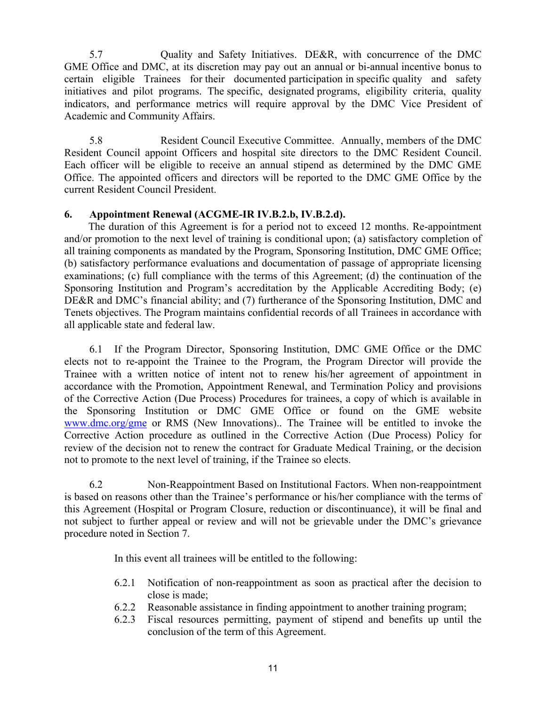5.7 Quality and Safety Initiatives. DE&R, with concurrence of the DMC GME Office and DMC, at its discretion may pay out an annual or bi-annual incentive bonus to certain eligible Trainees for their documented participation in specific quality and safety initiatives and pilot programs. The specific, designated programs, eligibility criteria, quality indicators, and performance metrics will require approval by the DMC Vice President of Academic and Community Affairs.

5.8 Resident Council Executive Committee. Annually, members of the DMC Resident Council appoint Officers and hospital site directors to the DMC Resident Council. Each officer will be eligible to receive an annual stipend as determined by the DMC GME Office. The appointed officers and directors will be reported to the DMC GME Office by the current Resident Council President.

### **6. Appointment Renewal (ACGME-IR IV.B.2.b, IV.B.2.d).**

 The duration of this Agreement is for a period not to exceed 12 months. Re-appointment and/or promotion to the next level of training is conditional upon; (a) satisfactory completion of all training components as mandated by the Program, Sponsoring Institution, DMC GME Office; (b) satisfactory performance evaluations and documentation of passage of appropriate licensing examinations; (c) full compliance with the terms of this Agreement; (d) the continuation of the Sponsoring Institution and Program's accreditation by the Applicable Accrediting Body; (e) DE&R and DMC's financial ability; and (7) furtherance of the Sponsoring Institution, DMC and Tenets objectives. The Program maintains confidential records of all Trainees in accordance with all applicable state and federal law.

6.1 If the Program Director, Sponsoring Institution, DMC GME Office or the DMC elects not to re-appoint the Trainee to the Program, the Program Director will provide the Trainee with a written notice of intent not to renew his/her agreement of appointment in accordance with the Promotion, Appointment Renewal, and Termination Policy and provisions of the Corrective Action (Due Process) Procedures for trainees, a copy of which is available in the Sponsoring Institution or DMC GME Office or found on the GME website www.dmc.org/gme or RMS (New Innovations).. The Trainee will be entitled to invoke the Corrective Action procedure as outlined in the Corrective Action (Due Process) Policy for review of the decision not to renew the contract for Graduate Medical Training, or the decision not to promote to the next level of training, if the Trainee so elects.

6.2 Non-Reappointment Based on Institutional Factors. When non-reappointment is based on reasons other than the Trainee's performance or his/her compliance with the terms of this Agreement (Hospital or Program Closure, reduction or discontinuance), it will be final and not subject to further appeal or review and will not be grievable under the DMC's grievance procedure noted in Section 7.

In this event all trainees will be entitled to the following:

- 6.2.1 Notification of non-reappointment as soon as practical after the decision to close is made;
- 6.2.2 Reasonable assistance in finding appointment to another training program;
- 6.2.3 Fiscal resources permitting, payment of stipend and benefits up until the conclusion of the term of this Agreement.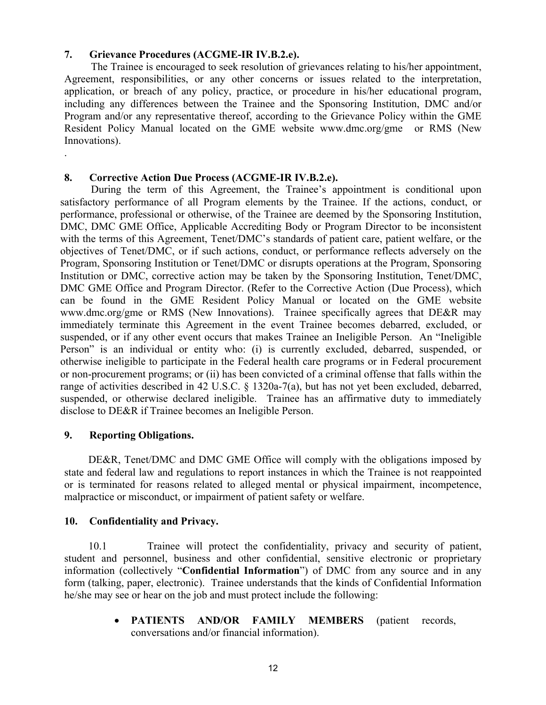## **7. Grievance Procedures (ACGME-IR IV.B.2.e).**

 The Trainee is encouraged to seek resolution of grievances relating to his/her appointment, Agreement, responsibilities, or any other concerns or issues related to the interpretation, application, or breach of any policy, practice, or procedure in his/her educational program, including any differences between the Trainee and the Sponsoring Institution, DMC and/or Program and/or any representative thereof, according to the Grievance Policy within the GME Resident Policy Manual located on the GME website www.dmc.org/gme or RMS (New Innovations).

### **8. Corrective Action Due Process (ACGME-IR IV.B.2.e).**

 During the term of this Agreement, the Trainee's appointment is conditional upon satisfactory performance of all Program elements by the Trainee. If the actions, conduct, or performance, professional or otherwise, of the Trainee are deemed by the Sponsoring Institution, DMC, DMC GME Office, Applicable Accrediting Body or Program Director to be inconsistent with the terms of this Agreement, Tenet/DMC's standards of patient care, patient welfare, or the objectives of Tenet/DMC, or if such actions, conduct, or performance reflects adversely on the Program, Sponsoring Institution or Tenet/DMC or disrupts operations at the Program, Sponsoring Institution or DMC, corrective action may be taken by the Sponsoring Institution, Tenet/DMC, DMC GME Office and Program Director. (Refer to the Corrective Action (Due Process), which can be found in the GME Resident Policy Manual or located on the GME website www.dmc.org/gme or RMS (New Innovations). Trainee specifically agrees that DE&R may immediately terminate this Agreement in the event Trainee becomes debarred, excluded, or suspended, or if any other event occurs that makes Trainee an Ineligible Person. An "Ineligible Person" is an individual or entity who: (i) is currently excluded, debarred, suspended, or otherwise ineligible to participate in the Federal health care programs or in Federal procurement or non-procurement programs; or (ii) has been convicted of a criminal offense that falls within the range of activities described in 42 U.S.C. § 1320a-7(a), but has not yet been excluded, debarred, suspended, or otherwise declared ineligible. Trainee has an affirmative duty to immediately disclose to DE&R if Trainee becomes an Ineligible Person.

### **9. Reporting Obligations.**

.

 DE&R, Tenet/DMC and DMC GME Office will comply with the obligations imposed by state and federal law and regulations to report instances in which the Trainee is not reappointed or is terminated for reasons related to alleged mental or physical impairment, incompetence, malpractice or misconduct, or impairment of patient safety or welfare.

### **10. Confidentiality and Privacy.**

 10.1 Trainee will protect the confidentiality, privacy and security of patient, student and personnel, business and other confidential, sensitive electronic or proprietary information (collectively "**Confidential Information**") of DMC from any source and in any form (talking, paper, electronic). Trainee understands that the kinds of Confidential Information he/she may see or hear on the job and must protect include the following:

> • **PATIENTS AND/OR FAMILY MEMBERS** (patient records, conversations and/or financial information).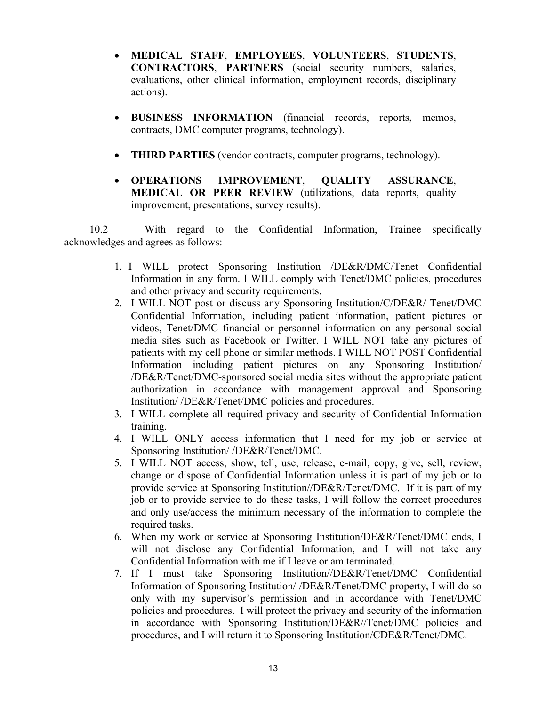- **MEDICAL STAFF**, **EMPLOYEES**, **VOLUNTEERS**, **STUDENTS**, **CONTRACTORS**, **PARTNERS** (social security numbers, salaries, evaluations, other clinical information, employment records, disciplinary actions).
- **BUSINESS INFORMATION** (financial records, reports, memos, contracts, DMC computer programs, technology).
- **THIRD PARTIES** (vendor contracts, computer programs, technology).
- **OPERATIONS IMPROVEMENT**, **QUALITY ASSURANCE**, **MEDICAL OR PEER REVIEW** (utilizations, data reports, quality improvement, presentations, survey results).

10.2 With regard to the Confidential Information, Trainee specifically acknowledges and agrees as follows:

- 1. I WILL protect Sponsoring Institution /DE&R/DMC/Tenet Confidential Information in any form. I WILL comply with Tenet/DMC policies, procedures and other privacy and security requirements.
- 2. I WILL NOT post or discuss any Sponsoring Institution/C/DE&R/ Tenet/DMC Confidential Information, including patient information, patient pictures or videos, Tenet/DMC financial or personnel information on any personal social media sites such as Facebook or Twitter. I WILL NOT take any pictures of patients with my cell phone or similar methods. I WILL NOT POST Confidential Information including patient pictures on any Sponsoring Institution/ /DE&R/Tenet/DMC-sponsored social media sites without the appropriate patient authorization in accordance with management approval and Sponsoring Institution/ /DE&R/Tenet/DMC policies and procedures.
- 3. I WILL complete all required privacy and security of Confidential Information training.
- 4. I WILL ONLY access information that I need for my job or service at Sponsoring Institution/ /DE&R/Tenet/DMC.
- 5. I WILL NOT access, show, tell, use, release, e-mail, copy, give, sell, review, change or dispose of Confidential Information unless it is part of my job or to provide service at Sponsoring Institution//DE&R/Tenet/DMC. If it is part of my job or to provide service to do these tasks, I will follow the correct procedures and only use/access the minimum necessary of the information to complete the required tasks.
- 6. When my work or service at Sponsoring Institution/DE&R/Tenet/DMC ends, I will not disclose any Confidential Information, and I will not take any Confidential Information with me if I leave or am terminated.
- 7. If I must take Sponsoring Institution//DE&R/Tenet/DMC Confidential Information of Sponsoring Institution/ /DE&R/Tenet/DMC property, I will do so only with my supervisor's permission and in accordance with Tenet/DMC policies and procedures. I will protect the privacy and security of the information in accordance with Sponsoring Institution/DE&R//Tenet/DMC policies and procedures, and I will return it to Sponsoring Institution/CDE&R/Tenet/DMC.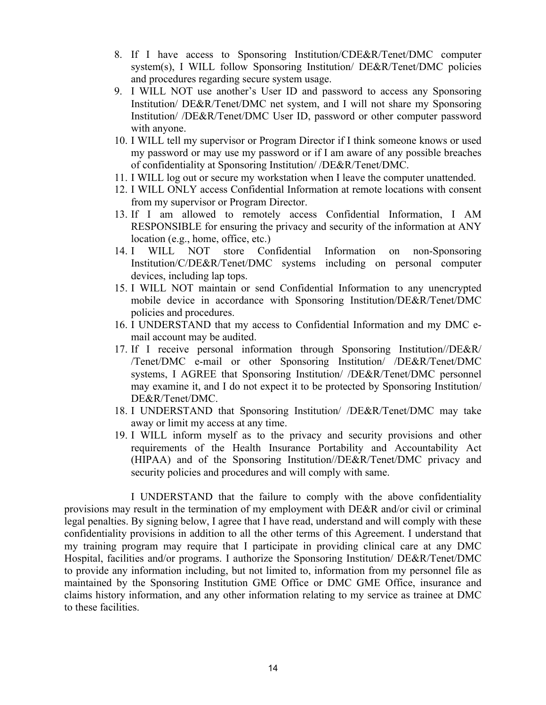- 8. If I have access to Sponsoring Institution/CDE&R/Tenet/DMC computer system(s), I WILL follow Sponsoring Institution/ DE&R/Tenet/DMC policies and procedures regarding secure system usage.
- 9. I WILL NOT use another's User ID and password to access any Sponsoring Institution/ DE&R/Tenet/DMC net system, and I will not share my Sponsoring Institution/ /DE&R/Tenet/DMC User ID, password or other computer password with anyone.
- 10. I WILL tell my supervisor or Program Director if I think someone knows or used my password or may use my password or if I am aware of any possible breaches of confidentiality at Sponsoring Institution/ /DE&R/Tenet/DMC.
- 11. I WILL log out or secure my workstation when I leave the computer unattended.
- 12. I WILL ONLY access Confidential Information at remote locations with consent from my supervisor or Program Director.
- 13. If I am allowed to remotely access Confidential Information, I AM RESPONSIBLE for ensuring the privacy and security of the information at ANY location (e.g., home, office, etc.)
- 14. I WILL NOT store Confidential Information on non-Sponsoring Institution/C/DE&R/Tenet/DMC systems including on personal computer devices, including lap tops.
- 15. I WILL NOT maintain or send Confidential Information to any unencrypted mobile device in accordance with Sponsoring Institution/DE&R/Tenet/DMC policies and procedures.
- 16. I UNDERSTAND that my access to Confidential Information and my DMC email account may be audited.
- 17. If I receive personal information through Sponsoring Institution//DE&R/ /Tenet/DMC e-mail or other Sponsoring Institution/ /DE&R/Tenet/DMC systems, I AGREE that Sponsoring Institution/ /DE&R/Tenet/DMC personnel may examine it, and I do not expect it to be protected by Sponsoring Institution/ DE&R/Tenet/DMC.
- 18. I UNDERSTAND that Sponsoring Institution/ /DE&R/Tenet/DMC may take away or limit my access at any time.
- 19. I WILL inform myself as to the privacy and security provisions and other requirements of the Health Insurance Portability and Accountability Act (HIPAA) and of the Sponsoring Institution//DE&R/Tenet/DMC privacy and security policies and procedures and will comply with same.

I UNDERSTAND that the failure to comply with the above confidentiality provisions may result in the termination of my employment with DE&R and/or civil or criminal legal penalties. By signing below, I agree that I have read, understand and will comply with these confidentiality provisions in addition to all the other terms of this Agreement. I understand that my training program may require that I participate in providing clinical care at any DMC Hospital, facilities and/or programs. I authorize the Sponsoring Institution/ DE&R/Tenet/DMC to provide any information including, but not limited to, information from my personnel file as maintained by the Sponsoring Institution GME Office or DMC GME Office, insurance and claims history information, and any other information relating to my service as trainee at DMC to these facilities.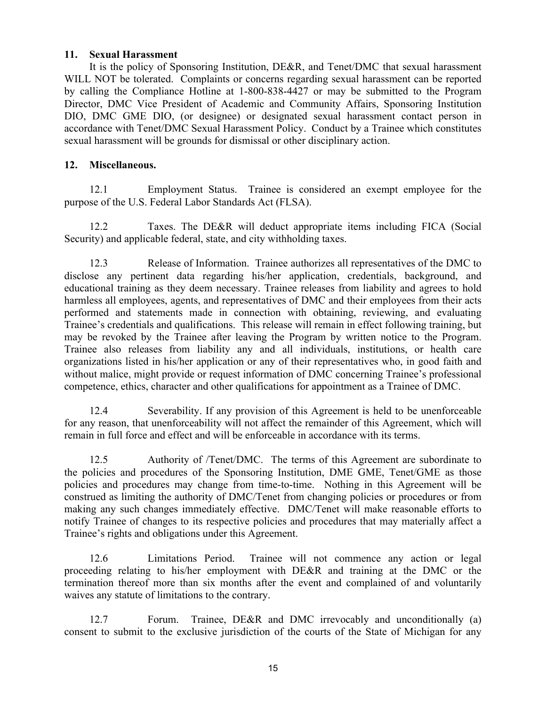### **11. Sexual Harassment**

It is the policy of Sponsoring Institution, DE&R, and Tenet/DMC that sexual harassment WILL NOT be tolerated. Complaints or concerns regarding sexual harassment can be reported by calling the Compliance Hotline at 1-800-838-4427 or may be submitted to the Program Director, DMC Vice President of Academic and Community Affairs, Sponsoring Institution DIO, DMC GME DIO, (or designee) or designated sexual harassment contact person in accordance with Tenet/DMC Sexual Harassment Policy. Conduct by a Trainee which constitutes sexual harassment will be grounds for dismissal or other disciplinary action.

#### **12. Miscellaneous.**

12.1 Employment Status. Trainee is considered an exempt employee for the purpose of the U.S. Federal Labor Standards Act (FLSA).

12.2 Taxes. The DE&R will deduct appropriate items including FICA (Social Security) and applicable federal, state, and city withholding taxes.

12.3 Release of Information. Trainee authorizes all representatives of the DMC to disclose any pertinent data regarding his/her application, credentials, background, and educational training as they deem necessary. Trainee releases from liability and agrees to hold harmless all employees, agents, and representatives of DMC and their employees from their acts performed and statements made in connection with obtaining, reviewing, and evaluating Trainee's credentials and qualifications. This release will remain in effect following training, but may be revoked by the Trainee after leaving the Program by written notice to the Program. Trainee also releases from liability any and all individuals, institutions, or health care organizations listed in his/her application or any of their representatives who, in good faith and without malice, might provide or request information of DMC concerning Trainee's professional competence, ethics, character and other qualifications for appointment as a Trainee of DMC.

12.4 Severability. If any provision of this Agreement is held to be unenforceable for any reason, that unenforceability will not affect the remainder of this Agreement, which will remain in full force and effect and will be enforceable in accordance with its terms.

12.5 Authority of /Tenet/DMC. The terms of this Agreement are subordinate to the policies and procedures of the Sponsoring Institution, DME GME, Tenet/GME as those policies and procedures may change from time-to-time. Nothing in this Agreement will be construed as limiting the authority of DMC/Tenet from changing policies or procedures or from making any such changes immediately effective. DMC/Tenet will make reasonable efforts to notify Trainee of changes to its respective policies and procedures that may materially affect a Trainee's rights and obligations under this Agreement.

12.6 Limitations Period. Trainee will not commence any action or legal proceeding relating to his/her employment with DE&R and training at the DMC or the termination thereof more than six months after the event and complained of and voluntarily waives any statute of limitations to the contrary.

12.7 Forum. Trainee, DE&R and DMC irrevocably and unconditionally (a) consent to submit to the exclusive jurisdiction of the courts of the State of Michigan for any